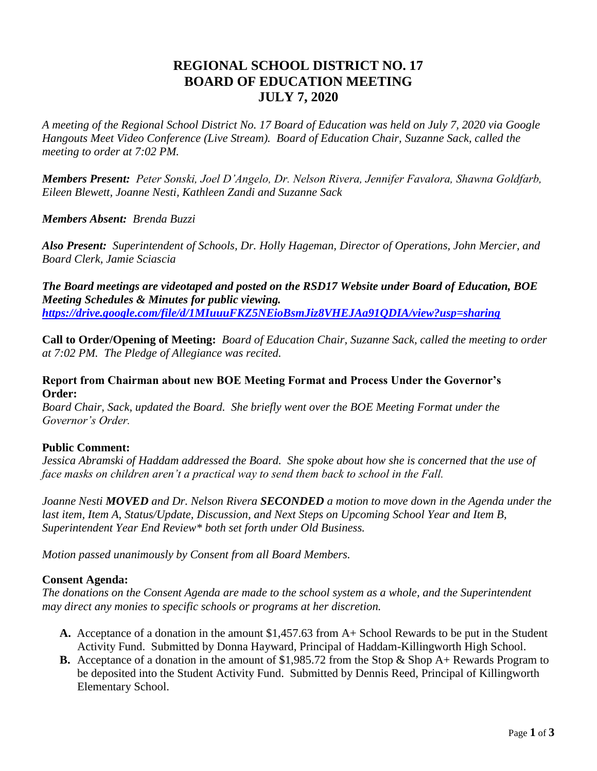# **REGIONAL SCHOOL DISTRICT NO. 17 BOARD OF EDUCATION MEETING JULY 7, 2020**

*A meeting of the Regional School District No. 17 Board of Education was held on July 7, 2020 via Google Hangouts Meet Video Conference (Live Stream). Board of Education Chair, Suzanne Sack, called the meeting to order at 7:02 PM.*

*Members Present: Peter Sonski, Joel D'Angelo, Dr. Nelson Rivera, Jennifer Favalora, Shawna Goldfarb, Eileen Blewett, Joanne Nesti, Kathleen Zandi and Suzanne Sack*

*Members Absent: Brenda Buzzi*

*Also Present: Superintendent of Schools, Dr. Holly Hageman, Director of Operations, John Mercier, and Board Clerk, Jamie Sciascia* 

*The Board meetings are videotaped and posted on the RSD17 Website under Board of Education, BOE Meeting Schedules & Minutes for public viewing. <https://drive.google.com/file/d/1MIuuuFKZ5NEioBsmJiz8VHEJAa91QDIA/view?usp=sharing>*

**Call to Order/Opening of Meeting:** *Board of Education Chair, Suzanne Sack, called the meeting to order at 7:02 PM. The Pledge of Allegiance was recited.*

## **Report from Chairman about new BOE Meeting Format and Process Under the Governor's Order:**

*Board Chair, Sack, updated the Board. She briefly went over the BOE Meeting Format under the Governor's Order.* 

# **Public Comment:**

*Jessica Abramski of Haddam addressed the Board. She spoke about how she is concerned that the use of face masks on children aren't a practical way to send them back to school in the Fall.* 

*Joanne Nesti MOVED and Dr. Nelson Rivera SECONDED a motion to move down in the Agenda under the last item, Item A, Status/Update, Discussion, and Next Steps on Upcoming School Year and Item B, Superintendent Year End Review\* both set forth under Old Business.*

*Motion passed unanimously by Consent from all Board Members.* 

# **Consent Agenda:**

*The donations on the Consent Agenda are made to the school system as a whole, and the Superintendent may direct any monies to specific schools or programs at her discretion.* 

- **A.** Acceptance of a donation in the amount \$1,457.63 from A+ School Rewards to be put in the Student Activity Fund. Submitted by Donna Hayward, Principal of Haddam-Killingworth High School.
- **B.** Acceptance of a donation in the amount of \$1,985.72 from the Stop & Shop A+ Rewards Program to be deposited into the Student Activity Fund. Submitted by Dennis Reed, Principal of Killingworth Elementary School.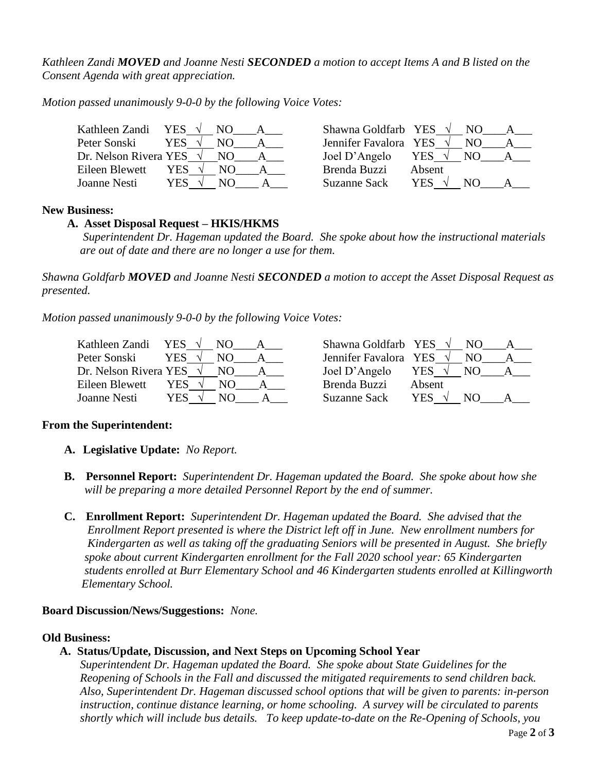*Kathleen Zandi MOVED and Joanne Nesti SECONDED a motion to accept Items A and B listed on the Consent Agenda with great appreciation.*

*Motion passed unanimously 9-0-0 by the following Voice Votes:*

| Kathleen Zandi        | YES $\sqrt{ }$ | NO. | Shawna Goldfarb YES   |        | N() |  |
|-----------------------|----------------|-----|-----------------------|--------|-----|--|
| Peter Sonski          | YES.           |     | Jennifer Favalora YES |        | NΩ  |  |
| Dr. Nelson Rivera YES |                | NO. | Joel D'Angelo         | YES √  | N() |  |
| Eileen Blewett        | YES.           | NO. | Brenda Buzzi          | Absent |     |  |
| Joanne Nesti          | YES.           | N() | Suzanne Sack          | YES    | NΩ  |  |

#### **New Business:**

## **A. Asset Disposal Request – HKIS/HKMS**

 *Superintendent Dr. Hageman updated the Board. She spoke about how the instructional materials are out of date and there are no longer a use for them.* 

*Shawna Goldfarb MOVED and Joanne Nesti SECONDED a motion to accept the Asset Disposal Request as presented.*

*Motion passed unanimously 9-0-0 by the following Voice Votes:*

| Kathleen Zandi<br><b>YES</b><br>NΟ | Shawna Goldfarb YES<br>N()                          |
|------------------------------------|-----------------------------------------------------|
| Peter Sonski<br>YES<br>NΟ          | Jennifer Favalora YES<br>NO.                        |
| Dr. Nelson Rivera YES<br>NO.       | Joel D'Angelo<br>YES<br>NO.                         |
| Eileen Blewett<br>YES.             | Brenda Buzzi<br>Absent                              |
| Joanne Nesti<br>YES<br>NО          | <b>YES</b><br><b>Suzanne Sack</b><br>N <sub>O</sub> |

| hawna Goldfarb YES   |        | NO. |  |
|----------------------|--------|-----|--|
| ennifer Favalora YES |        | NΟ  |  |
| oel D'Angelo         | YES    | NΩ  |  |
| renda Buzzi          | Absent |     |  |
| uzanne Sack          | YES    | NΩ  |  |

#### **From the Superintendent:**

- **A. Legislative Update:** *No Report.*
- **B. Personnel Report:** *Superintendent Dr. Hageman updated the Board. She spoke about how she will be preparing a more detailed Personnel Report by the end of summer.*
- **C. Enrollment Report:** *Superintendent Dr. Hageman updated the Board. She advised that the Enrollment Report presented is where the District left off in June. New enrollment numbers for Kindergarten as well as taking off the graduating Seniors will be presented in August. She briefly spoke about current Kindergarten enrollment for the Fall 2020 school year: 65 Kindergarten students enrolled at Burr Elementary School and 46 Kindergarten students enrolled at Killingworth Elementary School.*

#### **Board Discussion/News/Suggestions:** *None.*

#### **Old Business:**

# **A. Status/Update, Discussion, and Next Steps on Upcoming School Year**

*Superintendent Dr. Hageman updated the Board. She spoke about State Guidelines for the Reopening of Schools in the Fall and discussed the mitigated requirements to send children back. Also, Superintendent Dr. Hageman discussed school options that will be given to parents: in-person instruction, continue distance learning, or home schooling. A survey will be circulated to parents shortly which will include bus details. To keep update-to-date on the Re-Opening of Schools, you*